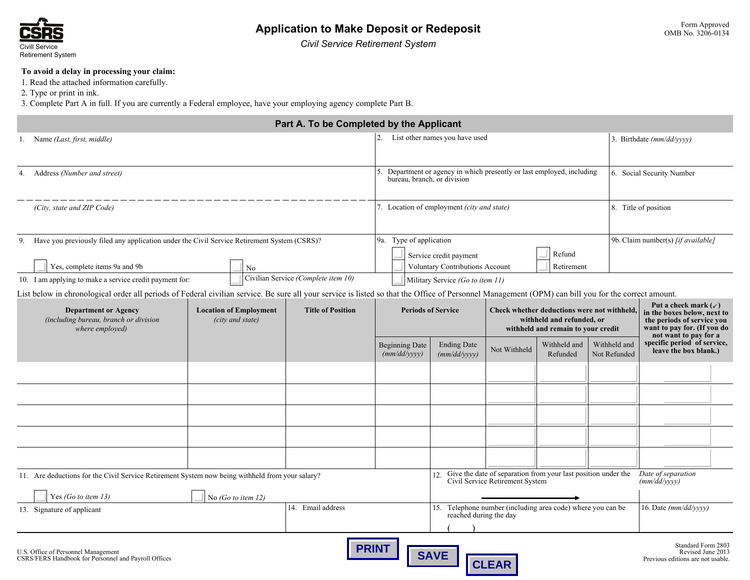

*Civil Service Retirement System*

# **To avoid a delay in processing your claim:**

1. Read the attached information carefully.

2. Type or print in ink.

3. Complete Part A in full. If you are currently a Federal employee, have your employing agency complete Part B.

|                                                                                                                                                                                                     |                       | Part A. To be Completed by the Applicant |                                                                                   |                                                                                                       |                                                                                                                |                                                               |                              |                                                                                                                                                      |  |
|-----------------------------------------------------------------------------------------------------------------------------------------------------------------------------------------------------|-----------------------|------------------------------------------|-----------------------------------------------------------------------------------|-------------------------------------------------------------------------------------------------------|----------------------------------------------------------------------------------------------------------------|---------------------------------------------------------------|------------------------------|------------------------------------------------------------------------------------------------------------------------------------------------------|--|
| 1. Name (Last, first, middle)                                                                                                                                                                       |                       |                                          | 2.                                                                                | List other names you have used                                                                        |                                                                                                                |                                                               |                              | 3. Birthdate (mm/dd/yyyy)                                                                                                                            |  |
|                                                                                                                                                                                                     |                       |                                          |                                                                                   |                                                                                                       |                                                                                                                |                                                               |                              |                                                                                                                                                      |  |
| 4. Address (Number and street)                                                                                                                                                                      |                       |                                          |                                                                                   | 5. Department or agency in which presently or last employed, including<br>bureau, branch, or division |                                                                                                                |                                                               |                              | 6. Social Security Number                                                                                                                            |  |
| (City, state and ZIP Code)                                                                                                                                                                          |                       |                                          |                                                                                   | 7. Location of employment (city and state)                                                            |                                                                                                                |                                                               |                              | 8. Title of position                                                                                                                                 |  |
| Have you previously filed any application under the Civil Service Retirement System (CSRS)?<br>9.                                                                                                   |                       |                                          | 9a. Type of application                                                           |                                                                                                       |                                                                                                                |                                                               |                              | 9b. Claim number(s) [if available]                                                                                                                   |  |
| Yes, complete items 9a and 9b<br>No                                                                                                                                                                 |                       |                                          | Refund<br>Service credit payment<br>Voluntary Contributions Account<br>Retirement |                                                                                                       |                                                                                                                |                                                               |                              |                                                                                                                                                      |  |
| 10. I am applying to make a service credit payment for:                                                                                                                                             |                       | Civilian Service (Complete item 10)      |                                                                                   | Military Service (Go to item 11)                                                                      |                                                                                                                |                                                               |                              |                                                                                                                                                      |  |
| List below in chronological order all periods of Federal civilian service. Be sure all your service is listed so that the Office of Personnel Management (OPM) can bill you for the correct amount. |                       |                                          |                                                                                   |                                                                                                       |                                                                                                                |                                                               |                              |                                                                                                                                                      |  |
| <b>Department or Agency</b><br><b>Location of Employment</b><br>(including bureau, branch or division<br>(city and state)<br>where employed)                                                        |                       | <b>Title of Position</b>                 | <b>Periods of Service</b>                                                         |                                                                                                       | Check whether deductions were not withheld,<br>withheld and refunded, or<br>withheld and remain to your credit |                                                               |                              | Put a check mark $(\checkmark)$<br>in the boxes below, next to<br>the periods of service you<br>want to pay for. (If you do<br>not want to pay for a |  |
|                                                                                                                                                                                                     |                       |                                          | <b>Beginning Date</b><br>(mm/dd/yyyy)                                             | <b>Ending Date</b><br>(mm/dd/yyyy)                                                                    | Not Withheld                                                                                                   | Withheld and<br>Refunded                                      | Withheld and<br>Not Refunded | specific period of service,<br>leave the box blank.)                                                                                                 |  |
|                                                                                                                                                                                                     |                       |                                          |                                                                                   |                                                                                                       |                                                                                                                |                                                               |                              |                                                                                                                                                      |  |
|                                                                                                                                                                                                     |                       |                                          |                                                                                   |                                                                                                       |                                                                                                                |                                                               |                              |                                                                                                                                                      |  |
|                                                                                                                                                                                                     |                       |                                          |                                                                                   |                                                                                                       |                                                                                                                |                                                               |                              |                                                                                                                                                      |  |
|                                                                                                                                                                                                     |                       |                                          |                                                                                   |                                                                                                       |                                                                                                                |                                                               |                              |                                                                                                                                                      |  |
|                                                                                                                                                                                                     |                       |                                          |                                                                                   |                                                                                                       |                                                                                                                |                                                               |                              |                                                                                                                                                      |  |
| 11. Are deductions for the Civil Service Retirement System now being withheld from your salary?                                                                                                     |                       |                                          |                                                                                   |                                                                                                       | Civil Service Retirement System                                                                                | Give the date of separation from your last position under the |                              | Date of separation<br>(mm/dd/vvvv)                                                                                                                   |  |
| Yes (Go to item 13)                                                                                                                                                                                 | No (Go to item $12$ ) |                                          |                                                                                   |                                                                                                       |                                                                                                                |                                                               |                              |                                                                                                                                                      |  |
| 13. Signature of applicant                                                                                                                                                                          |                       | 14. Email address                        |                                                                                   | 15. Telephone number (including area code) where you can be<br>reached during the day                 |                                                                                                                |                                                               |                              | 16. Date (mm/dd/yyyy)                                                                                                                                |  |
| U.S. Office of Personnel Management                                                                                                                                                                 |                       |                                          | <b>PRINT</b>                                                                      |                                                                                                       |                                                                                                                |                                                               |                              | Standard Form 2803<br>Revised June 2013                                                                                                              |  |



**CLEAR**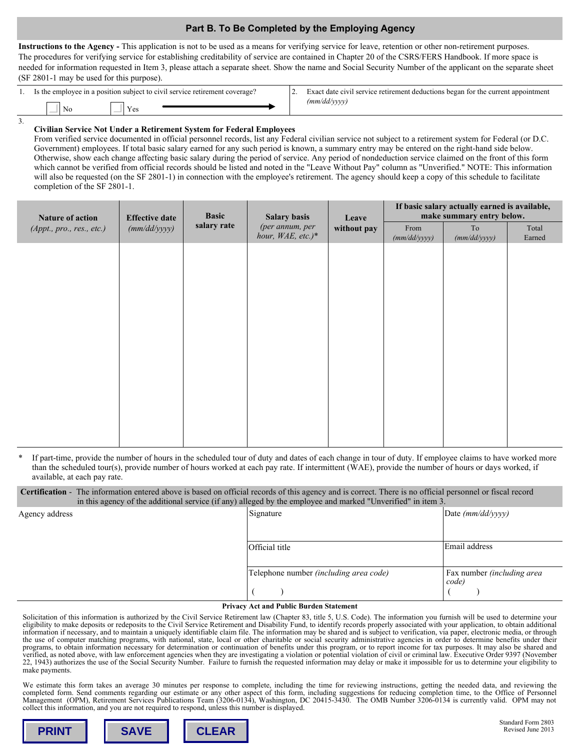# **Part B. To Be Completed by the Employing Agency**

**Instructions to the Agency -** This application is not to be used as a means for verifying service for leave, retention or other non-retirement purposes. The procedures for verifying service for establishing creditability of service are contained in Chapter 20 of the CSRS/FERS Handbook. If more space is needed for information requested in Item 3, please attach a separate sheet. Show the name and Social Security Number of the applicant on the separate sheet (SF 2801-1 may be used for this purpose).

| . . | Is the employee in a position subject to civil service retirement coverage? |  | Exact date civil service retirement deductions began for the current appointment |
|-----|-----------------------------------------------------------------------------|--|----------------------------------------------------------------------------------|
|     | Y es<br>NО                                                                  |  | (mm/dd/vvvv)<br>----                                                             |

#### **Civilian Service Not Under a Retirement System for Federal Employees**

3.

From verified service documented in official personnel records, list any Federal civilian service not subject to a retirement system for Federal (or D.C. Government) employees. If total basic salary earned for any such period is known, a summary entry may be entered on the right-hand side below. Otherwise, show each change affecting basic salary during the period of service. Any period of nondeduction service claimed on the front of this form which cannot be verified from official records should be listed and noted in the "Leave Without Pay" column as "Unverified." NOTE: This information will also be requested (on the SF 2801-1) in connection with the employee's retirement. The agency should keep a copy of this schedule to facilitate completion of the SF 2801-1.

| Nature of action          | <b>Effective date</b> | <b>Basic</b> | <b>Salary basis</b>                  | Leave<br>without pay | If basic salary actually earned is available,<br>make summary entry below. |                    |                 |
|---------------------------|-----------------------|--------------|--------------------------------------|----------------------|----------------------------------------------------------------------------|--------------------|-----------------|
| (Appt., pro., res., etc.) | (mm/dd/yyyy)          | salary rate  | (per annum, per<br>hour, WAE, etc.)* |                      | From<br>(mm/dd/yyyy)                                                       | To<br>(mm/dd/yyyy) | Total<br>Earned |
|                           |                       |              |                                      |                      |                                                                            |                    |                 |
|                           |                       |              |                                      |                      |                                                                            |                    |                 |
|                           |                       |              |                                      |                      |                                                                            |                    |                 |
|                           |                       |              |                                      |                      |                                                                            |                    |                 |
|                           |                       |              |                                      |                      |                                                                            |                    |                 |
|                           |                       |              |                                      |                      |                                                                            |                    |                 |
|                           |                       |              |                                      |                      |                                                                            |                    |                 |
|                           |                       |              |                                      |                      |                                                                            |                    |                 |
|                           |                       |              |                                      |                      |                                                                            |                    |                 |
|                           |                       |              |                                      |                      |                                                                            |                    |                 |
|                           |                       |              |                                      |                      |                                                                            |                    |                 |

If part-time, provide the number of hours in the scheduled tour of duty and dates of each change in tour of duty. If employee claims to have worked more than the scheduled tour(s), provide number of hours worked at each pay rate. If intermittent (WAE), provide the number of hours or days worked, if available, at each pay rate.

**Certification** - The information entered above is based on official records of this agency and is correct. There is no official personnel or fiscal record in this agency of the additional service (if any) alleged by the employee and marked "Unverified" in item 3.

| Agency address | Signature                              | Date (mm/dd/yyyy)                   |
|----------------|----------------------------------------|-------------------------------------|
|                |                                        |                                     |
|                | Official title                         | Email address                       |
|                |                                        |                                     |
|                | Telephone number (including area code) | Fax number (including area<br>code) |
|                |                                        |                                     |

#### **Privacy Act and Public Burden Statement**

Solicitation of this information is authorized by the Civil Service Retirement law (Chapter 83, title 5, U.S. Code). The information you furnish will be used to determine your eligibility to make deposits or redeposits to the Civil Service Retirement and Disability Fund, to identify records properly associated with your application, to obtain additional information if necessary, and to maintain a uniquely identifiable claim file. The information may be shared and is subject to verification, via paper, electronic media, or through the use of computer matching programs, with national, state, local or other charitable or social security administrative agencies in order to determine benefits under their programs, to obtain information necessary for determination or continuation of benefits under this program, or to report income for tax purposes. It may also be shared and verified, as noted above, with law enforcement agencies when they are investigating a violation or potential violation of civil or criminal law. Executive Order 9397 (November 22, 1943) authorizes the use of the Social Security Number. Failure to furnish the requested information may delay or make it impossible for us to determine your eligibility to make payments.

We estimate this form takes an average 30 minutes per response to complete, including the time for reviewing instructions, getting the needed data, and reviewing the completed form. Send comments regarding our estimate or any other aspect of this form, including suggestions for reducing completion time, to the Office of Personnel<br>Management (OPM), Retirement Services Publications Team collect this information, and you are not required to respond, unless this number is displayed.



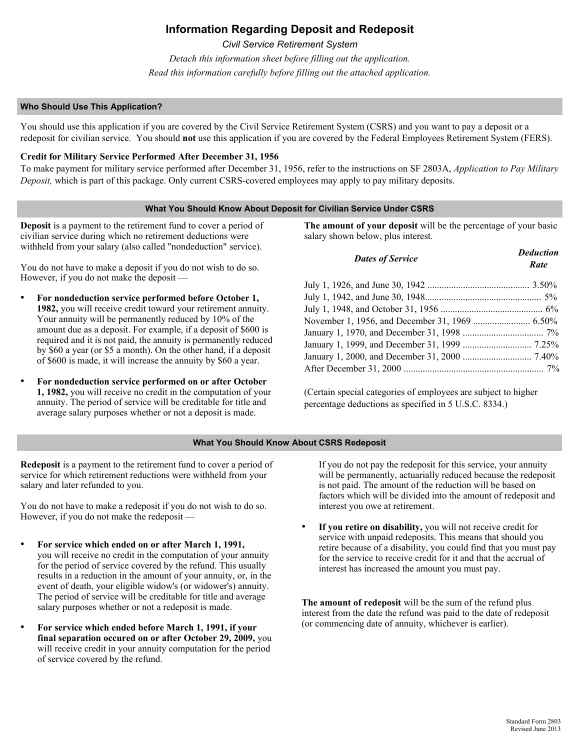# **Information Regarding Deposit and Redeposit**

*Civil Service Retirement System* 

*Detach this information sheet before filling out the application. Read this information carefully before filling out the attached application.*

## **Who Should Use This Application?**

You should use this application if you are covered by the Civil Service Retirement System (CSRS) and you want to pay a deposit or a redeposit for civilian service. You should **not** use this application if you are covered by the Federal Employees Retirement System (FERS).

# **Credit for Military Service Performed After December 31, 1956**

To make payment for military service performed after December 31, 1956, refer to the instructions on SF 2803A, *Application to Pay Military Deposit,* which is part of this package. Only current CSRS-covered employees may apply to pay military deposits.

# **What You Should Know About Deposit for Civilian Service Under CSRS**

**Deposit** is a payment to the retirement fund to cover a period of civilian service during which no retirement deductions were withheld from your salary (also called "nondeduction" service).

You do not have to make a deposit if you do not wish to do so. However, if you do not make the deposit —

- **For nondeduction service performed before October 1, 1982,** you will receive credit toward your retirement annuity. Your annuity will be permanently reduced by 10% of the amount due as a deposit. For example, if a deposit of \$600 is required and it is not paid, the annuity is permanently reduced by \$60 a year (or \$5 a month). On the other hand, if a deposit of \$600 is made, it will increase the annuity by \$60 a year.
- **For nondeduction service performed on or after October 1, 1982,** you will receive no credit in the computation of your annuity. The period of service will be creditable for title and average salary purposes whether or not a deposit is made.

**The amount of your deposit** will be the percentage of your basic salary shown below, plus interest.

| <b>Dates of Service</b> | <b>Deduction</b><br>Rate |
|-------------------------|--------------------------|
|                         |                          |
|                         |                          |
|                         |                          |
|                         |                          |
|                         |                          |
|                         |                          |
|                         |                          |
|                         |                          |

(Certain special categories of employees are subject to higher percentage deductions as specified in 5 U.S.C. 8334.)

# **What You Should Know About CSRS Redeposit**

**Redeposit** is a payment to the retirement fund to cover a period of service for which retirement reductions were withheld from your salary and later refunded to you.

You do not have to make a redeposit if you do not wish to do so. However, if you do not make the redeposit —

- **For service which ended on or after March 1, 1991,**  you will receive no credit in the computation of your annuity for the period of service covered by the refund. This usually results in a reduction in the amount of your annuity, or, in the event of death, your eligible widow's (or widower's) annuity. The period of service will be creditable for title and average salary purposes whether or not a redeposit is made.
- **For service which ended before March 1, 1991, if your final separation occured on or after October 29, 2009,** you will receive credit in your annuity computation for the period of service covered by the refund.

If you do not pay the redeposit for this service, your annuity will be permanently, actuarially reduced because the redeposit is not paid. The amount of the reduction will be based on factors which will be divided into the amount of redeposit and interest you owe at retirement.

If you retire on disability, you will not receive credit for service with unpaid redeposits. This means that should you retire because of a disability, you could find that you must pay for the service to receive credit for it and that the accrual of interest has increased the amount you must pay.

**The amount of redeposit** will be the sum of the refund plus interest from the date the refund was paid to the date of redeposit (or commencing date of annuity, whichever is earlier).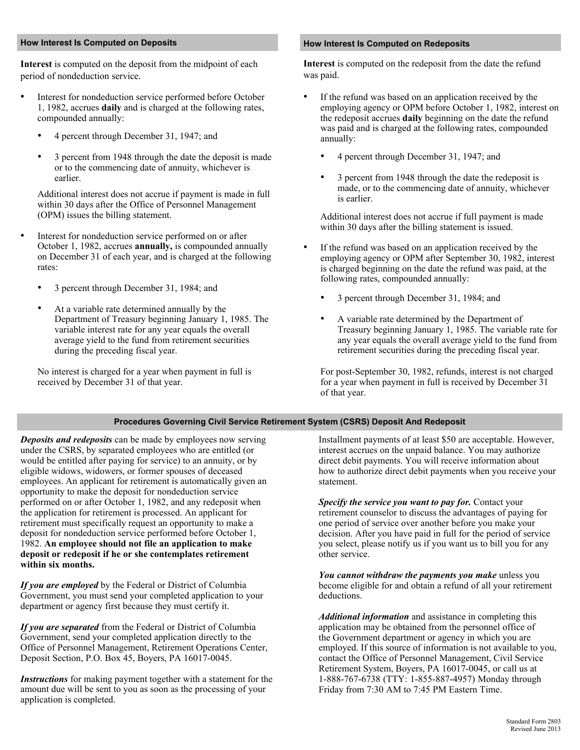#### **How Interest Is Computed on Deposits How Interest Is Computed on Redeposits**

**Interest** is computed on the deposit from the midpoint of each **Interest** is computed on the redeposit from the date the refund period of nondeduction service. Was paid.

- Interest for nondeduction service performed before October 1, 1982, accrues **daily** and is charged at the following rates, compounded annually:
	- 4 percent through December 31, 1947; and
	- 3 percent from 1948 through the date the deposit is made or to the commencing date of annuity, whichever is earlier.

Additional interest does not accrue if payment is made in full within 30 days after the Office of Personnel Management (OPM) issues the billing statement.

- Interest for nondeduction service performed on or after October 1, 1982, accrues **annually,** is compounded annually on December 31 of each year, and is charged at the following rates:
	- 3 percent through December 31, 1984; and
	- At a variable rate determined annually by the Department of Treasury beginning January 1, 1985. The variable interest rate for any year equals the overall average yield to the fund from retirement securities during the preceding fiscal year.

No interest is charged for a year when payment in full is received by December 31 of that year.

- If the refund was based on an application received by the employing agency or OPM before October 1, 1982, interest on the redeposit accrues **daily** beginning on the date the refund was paid and is charged at the following rates, compounded annually:
	- 4 percent through December 31, 1947; and
	- 3 percent from 1948 through the date the redeposit is made, or to the commencing date of annuity, whichever is earlier.

Additional interest does not accrue if full payment is made within 30 days after the billing statement is issued.

- If the refund was based on an application received by the employing agency or OPM after September 30, 1982, interest is charged beginning on the date the refund was paid, at the following rates, compounded annually:
	- 3 percent through December 31, 1984; and
	- A variable rate determined by the Department of Treasury beginning January 1, 1985. The variable rate for any year equals the overall average yield to the fund from retirement securities during the preceding fiscal year.

For post-September 30, 1982, refunds, interest is not charged for a year when payment in full is received by December 31 of that year.

# **Procedures Governing Civil Service Retirement System (CSRS) Deposit And Redeposit**

*Deposits and redeposits* can be made by employees now serving under the CSRS, by separated employees who are entitled (or would be entitled after paying for service) to an annuity, or by eligible widows, widowers, or former spouses of deceased employees. An applicant for retirement is automatically given an opportunity to make the deposit for nondeduction service performed on or after October 1, 1982, and any redeposit when the application for retirement is processed. An applicant for retirement must specifically request an opportunity to make a deposit for nondeduction service performed before October 1, 1982. **An employee should not file an application to make deposit or redeposit if he or she contemplates retirement within six months.** 

*If you are employed* by the Federal or District of Columbia Government, you must send your completed application to your department or agency first because they must certify it.

*If you are separated* from the Federal or District of Columbia Government, send your completed application directly to the Office of Personnel Management, Retirement Operations Center, Deposit Section, P.O. Box 45, Boyers, PA 16017-0045.

*Instructions* for making payment together with a statement for the amount due will be sent to you as soon as the processing of your application is completed.

Installment payments of at least \$50 are acceptable. However, interest accrues on the unpaid balance. You may authorize direct debit payments. You will receive information about how to authorize direct debit payments when you receive your statement.

*Specify the service you want to pay for.* Contact your retirement counselor to discuss the advantages of paying for one period of service over another before you make your decision. After you have paid in full for the period of service you select, please notify us if you want us to bill you for any other service.

*You cannot withdraw the payments you make* unless you become eligible for and obtain a refund of all your retirement deductions.

*Additional information* and assistance in completing this application may be obtained from the personnel office of the Government department or agency in which you are employed. If this source of information is not available to you, contact the Office of Personnel Management, Civil Service Retirement System, Boyers, PA 16017-0045, or call us at 1-888-767-6738 (TTY: 1-855-887-4957) Monday through Friday from 7:30 AM to 7:45 PM Eastern Time.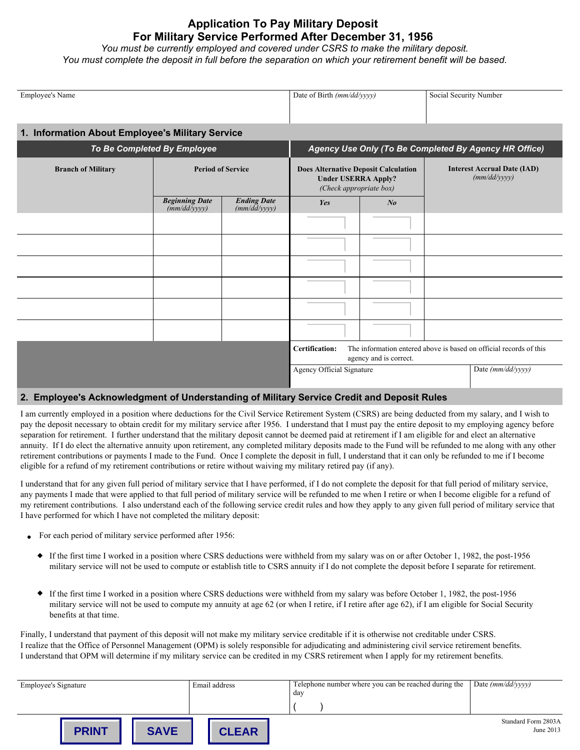# **Application To Pay Military Deposit For Military Service Performed After December 31, 1956**

*You must be currently employed and covered under CSRS to make the military deposit. You must complete the deposit in full before the separation on which your retirement benefit will be based.*

| <b>Employee's Name</b>                           |                                       |                                                                                                                       | Date of Birth (mm/dd/yyyy)                                                                           |         | Social Security Number                             |  |  |
|--------------------------------------------------|---------------------------------------|-----------------------------------------------------------------------------------------------------------------------|------------------------------------------------------------------------------------------------------|---------|----------------------------------------------------|--|--|
| 1. Information About Employee's Military Service |                                       |                                                                                                                       |                                                                                                      |         |                                                    |  |  |
| To Be Completed By Employee                      |                                       |                                                                                                                       | Agency Use Only (To Be Completed By Agency HR Office)                                                |         |                                                    |  |  |
| <b>Branch of Military</b>                        | <b>Period of Service</b>              |                                                                                                                       | <b>Does Alternative Deposit Calculation</b><br><b>Under USERRA Apply?</b><br>(Check appropriate box) |         | <b>Interest Accrual Date (IAD)</b><br>(mm/dd/yyyy) |  |  |
|                                                  | <b>Beginning Date</b><br>(mm/dd/yyyy) | <b>Ending Date</b><br>(mm/dd/yyyy)                                                                                    | Yes                                                                                                  | $N_{0}$ |                                                    |  |  |
|                                                  |                                       |                                                                                                                       |                                                                                                      |         |                                                    |  |  |
|                                                  |                                       |                                                                                                                       |                                                                                                      |         |                                                    |  |  |
|                                                  |                                       |                                                                                                                       |                                                                                                      |         |                                                    |  |  |
|                                                  |                                       |                                                                                                                       |                                                                                                      |         |                                                    |  |  |
|                                                  |                                       |                                                                                                                       |                                                                                                      |         |                                                    |  |  |
|                                                  |                                       |                                                                                                                       |                                                                                                      |         |                                                    |  |  |
|                                                  |                                       | The information entered above is based on official records of this<br><b>Certification:</b><br>agency and is correct. |                                                                                                      |         |                                                    |  |  |
|                                                  |                                       |                                                                                                                       | Agency Official Signature                                                                            |         | Date (mm/dd/yyyy)                                  |  |  |

# **2. Employee's Acknowledgment of Understanding of Military Service Credit and Deposit Rules**

I am currently employed in a position where deductions for the Civil Service Retirement System (CSRS) are being deducted from my salary, and I wish to pay the deposit necessary to obtain credit for my military service after 1956. I understand that I must pay the entire deposit to my employing agency before separation for retirement. I further understand that the military deposit cannot be deemed paid at retirement if I am eligible for and elect an alternative annuity. If I do elect the alternative annuity upon retirement, any completed military deposits made to the Fund will be refunded to me along with any other retirement contributions or payments I made to the Fund. Once I complete the deposit in full, I understand that it can only be refunded to me if I become eligible for a refund of my retirement contributions or retire without waiving my military retired pay (if any).

I understand that for any given full period of military service that I have performed, if I do not complete the deposit for that full period of military service, any payments I made that were applied to that full period of military service will be refunded to me when I retire or when I become eligible for a refund of my retirement contributions. I also understand each of the following service credit rules and how they apply to any given full period of military service that I have performed for which I have not completed the military deposit:

- For each period of military service performed after 1956:
	- If the first time I worked in a position where CSRS deductions were withheld from my salary was on or after October 1, 1982, the post-1956 military service will not be used to compute or establish title to CSRS annuity if I do not complete the deposit before I separate for retirement.
	- If the first time I worked in a position where CSRS deductions were withheld from my salary was before October 1, 1982, the post-1956 military service will not be used to compute my annuity at age 62 (or when I retire, if I retire after age 62), if I am eligible for Social Security benefits at that time.

Finally, I understand that payment of this deposit will not make my military service creditable if it is otherwise not creditable under CSRS. I realize that the Office of Personnel Management (OPM) is solely responsible for adjudicating and administering civil service retirement benefits. I understand that OPM will determine if my military service can be credited in my CSRS retirement when I apply for my retirement benefits.

| <b>Employee's Signature</b> | Email address | Telephone number where you can be reached during the | Date $(mm/dd/yyyy)$ |
|-----------------------------|---------------|------------------------------------------------------|---------------------|
|                             |               | dav                                                  |                     |
|                             |               |                                                      |                     |
|                             |               |                                                      | Standard Form 2803A |
| <b>SAVE</b><br><b>PRINT</b> | <b>CLEAR</b>  |                                                      | June 2013           |